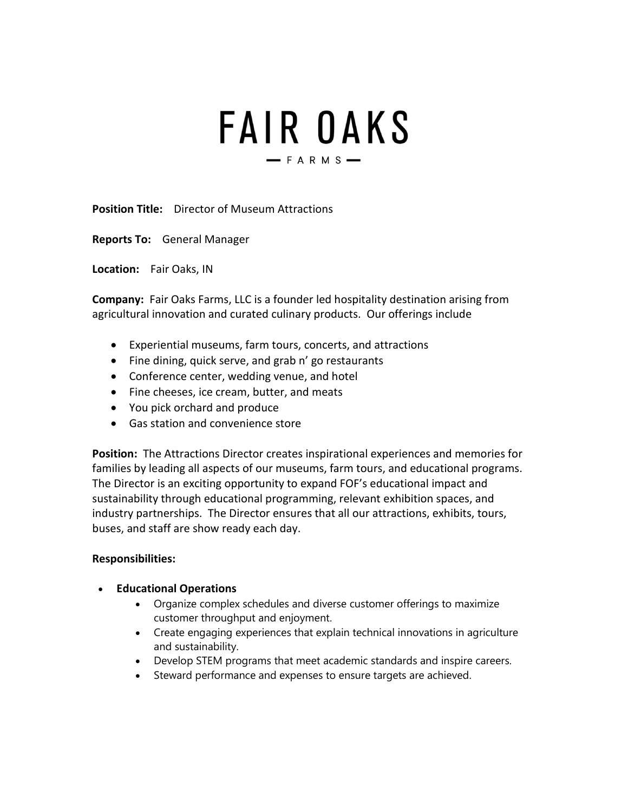# **FAIR OAKS**  $-$ FARMS $-$

**Position Title:** Director of Museum Attractions

**Reports To:** General Manager

**Location:** Fair Oaks, IN

**Company:** Fair Oaks Farms, LLC is a founder led hospitality destination arising from agricultural innovation and curated culinary products. Our offerings include

- Experiential museums, farm tours, concerts, and attractions
- Fine dining, quick serve, and grab n' go restaurants
- Conference center, wedding venue, and hotel
- Fine cheeses, ice cream, butter, and meats
- You pick orchard and produce
- Gas station and convenience store

**Position:** The Attractions Director creates inspirational experiences and memories for families by leading all aspects of our museums, farm tours, and educational programs. The Director is an exciting opportunity to expand FOF's educational impact and sustainability through educational programming, relevant exhibition spaces, and industry partnerships. The Director ensures that all our attractions, exhibits, tours, buses, and staff are show ready each day.

## **Responsibilities:**

- **Educational Operations**
	- Organize complex schedules and diverse customer offerings to maximize customer throughput and enjoyment.
	- Create engaging experiences that explain technical innovations in agriculture and sustainability.
	- Develop STEM programs that meet academic standards and inspire careers.
	- Steward performance and expenses to ensure targets are achieved.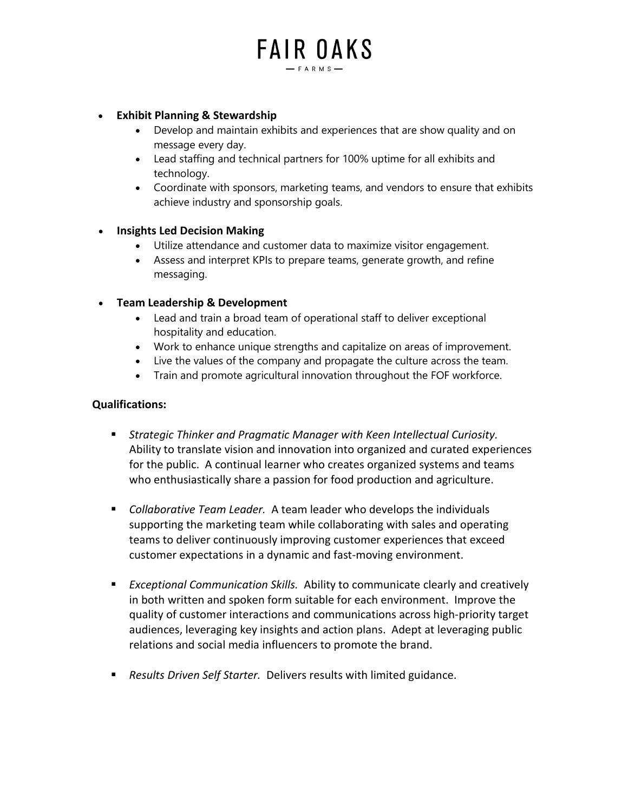# **FAIR OAKS**  $-$  FARMS-

#### • **Exhibit Planning & Stewardship**

- Develop and maintain exhibits and experiences that are show quality and on message every day.
- Lead staffing and technical partners for 100% uptime for all exhibits and technology.
- Coordinate with sponsors, marketing teams, and vendors to ensure that exhibits achieve industry and sponsorship goals.

#### • **Insights Led Decision Making**

- Utilize attendance and customer data to maximize visitor engagement.
- Assess and interpret KPIs to prepare teams, generate growth, and refine messaging.

#### • **Team Leadership & Development**

- Lead and train a broad team of operational staff to deliver exceptional hospitality and education.
- Work to enhance unique strengths and capitalize on areas of improvement.
- Live the values of the company and propagate the culture across the team.
- Train and promote agricultural innovation throughout the FOF workforce.

#### **Qualifications:**

- *Strategic Thinker and Pragmatic Manager with Keen Intellectual Curiosity.*  Ability to translate vision and innovation into organized and curated experiences for the public. A continual learner who creates organized systems and teams who enthusiastically share a passion for food production and agriculture.
- *Collaborative Team Leader.* A team leader who develops the individuals supporting the marketing team while collaborating with sales and operating teams to deliver continuously improving customer experiences that exceed customer expectations in a dynamic and fast-moving environment.
- *Exceptional Communication Skills.* Ability to communicate clearly and creatively in both written and spoken form suitable for each environment. Improve the quality of customer interactions and communications across high-priority target audiences, leveraging key insights and action plans. Adept at leveraging public relations and social media influencers to promote the brand.
- *Results Driven Self Starter.* Delivers results with limited guidance.